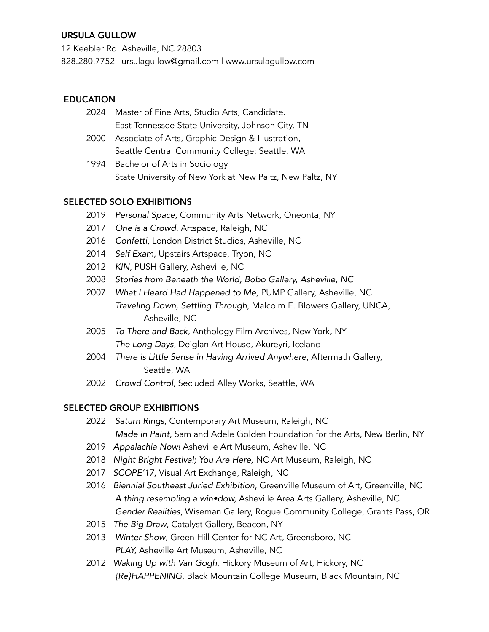### URSULA GULLOW

12 Keebler Rd. Asheville, NC 28803 828.280.7752 | ursulagullow@gmail.com | www.ursulagullow.com

### **EDUCATION**

- 2024 Master of Fine Arts, Studio Arts, Candidate. East Tennessee State University, Johnson City, TN
- 2000 Associate of Arts, Graphic Design & Illustration, Seattle Central Community College; Seattle, WA
- 1994 Bachelor of Arts in Sociology State University of New York at New Paltz, New Paltz, NY

#### SELECTED SOLO EXHIBITIONS

- 2019 *Personal Space,* Community Arts Network, Oneonta, NY
- 2017 *One is a Crowd*, Artspace, Raleigh, NC
- 2016 *Confetti*, London District Studios, Asheville, NC
- 2014 *Self Exam,* Upstairs Artspace, Tryon, NC
- 2012 *KIN*, PUSH Gallery, Asheville, NC
- 2008 *Stories from Beneath the World, Bobo Gallery, Asheville, NC*
- 2007 *What I Heard Had Happened to Me*, PUMP Gallery, Asheville, NC *Traveling Down, Settling Through*, Malcolm E. Blowers Gallery, UNCA, Asheville, NC
- 2005 *To There and Back*, Anthology Film Archives, New York, NY *The Long Days*, Deiglan Art House, Akureyri, Iceland
- 2004 *There is Little Sense in Having Arrived Anywhere*, Aftermath Gallery, Seattle, WA
- 2002 *Crowd Control*, Secluded Alley Works, Seattle, WA

### SELECTED GROUP EXHIBITIONS

- 2022 *Saturn Rings,* Contemporary Art Museum, Raleigh, NC *Made in Paint*, Sam and Adele Golden Foundation for the Arts, New Berlin, NY
- 2019 *Appalachia Now!* Asheville Art Museum, Asheville, NC
- 2018 *Night Bright Festival; You Are Here,* NC Art Museum, Raleigh, NC
- 2017 *SCOPE'17,* Visual Art Exchange, Raleigh, NC
- 2016 *Biennial Southeast Juried Exhibition*, Greenville Museum of Art, Greenville, NC *A thing resembling a win•dow,* Asheville Area Arts Gallery, Asheville, NC *Gender Realities*, Wiseman Gallery, Rogue Community College, Grants Pass, OR
- 2015 *The Big Draw*, Catalyst Gallery, Beacon, NY
- 2013 *Winter Show*, Green Hill Center for NC Art, Greensboro, NC *PLAY,* Asheville Art Museum, Asheville, NC
- 2012 *Waking Up with Van Gogh*, Hickory Museum of Art, Hickory, NC *{Re}HAPPENING*, Black Mountain College Museum, Black Mountain, NC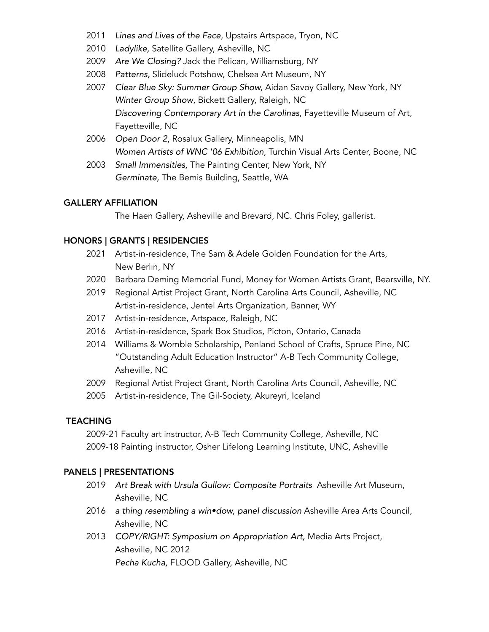- 2011 *Lines and Lives of the Face*, Upstairs Artspace, Tryon, NC
- 2010 *Ladylike,* Satellite Gallery, Asheville, NC
- 2009 *Are We Closing?* Jack the Pelican, Williamsburg, NY
- 2008 *Patterns,* Slideluck Potshow, Chelsea Art Museum, NY
- 2007 *Clear Blue Sky: Summer Group Show,* Aidan Savoy Gallery, New York, NY *Winter Group Show*, Bickett Gallery, Raleigh, NC *Discovering Contemporary Art in the Carolinas*, Fayetteville Museum of Art, Fayetteville, NC
- 2006 *Open Door 2*, Rosalux Gallery, Minneapolis, MN *Women Artists of WNC '06 Exhibition*, Turchin Visual Arts Center, Boone, NC
- 2003 *Small Immensities,* The Painting Center, New York, NY *Germinate,* The Bemis Building, Seattle, WA

#### GALLERY AFFILIATION

The Haen Gallery, Asheville and Brevard, NC. Chris Foley, gallerist.

### HONORS | GRANTS | RESIDENCIES

- 2021 Artist-in-residence, The Sam & Adele Golden Foundation for the Arts, New Berlin, NY
- 2020 Barbara Deming Memorial Fund, Money for Women Artists Grant, Bearsville, NY.
- 2019 Regional Artist Project Grant, North Carolina Arts Council, Asheville, NC Artist-in-residence, Jentel Arts Organization, Banner, WY
- 2017 Artist-in-residence, Artspace, Raleigh, NC
- 2016 Artist-in-residence, Spark Box Studios, Picton, Ontario, Canada
- 2014 Williams & Womble Scholarship, Penland School of Crafts, Spruce Pine, NC "Outstanding Adult Education Instructor" A-B Tech Community College, Asheville, NC
- 2009 Regional Artist Project Grant, North Carolina Arts Council, Asheville, NC
- 2005 Artist-in-residence, The Gil-Society, Akureyri, Iceland

### **TEACHING**

2009-21 Faculty art instructor, A-B Tech Community College, Asheville, NC 2009-18 Painting instructor, Osher Lifelong Learning Institute, UNC, Asheville

### PANELS | PRESENTATIONS

- 2019 *Art Break with Ursula Gullow: Composite Portraits* Asheville Art Museum, Asheville, NC
- 2016 *a thing resembling a win•dow, panel discussion* Asheville Area Arts Council, Asheville, NC
- 2013 *COPY/RIGHT: Symposium on Appropriation Art,* Media Arts Project, Asheville, NC 2012 *Pecha Kucha,* FLOOD Gallery, Asheville, NC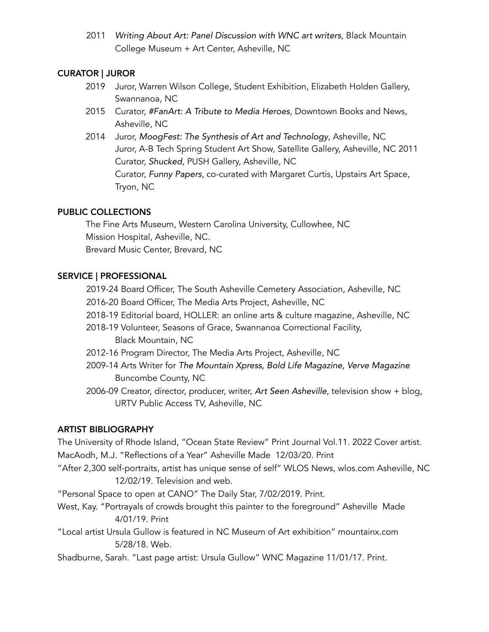2011 *Writing About Art: Panel Discussion with WNC art writers*, Black Mountain College Museum + Art Center, Asheville, NC

## CURATOR | JUROR

- 2019 Juror, Warren Wilson College, Student Exhibition, Elizabeth Holden Gallery, Swannanoa, NC
- 2015 Curator, *#FanArt: A Tribute to Media Heroes*, Downtown Books and News, Asheville, NC
- 2014 Juror, *MoogFest: The Synthesis of Art and Technology*, Asheville, NC Juror, A-B Tech Spring Student Art Show, Satellite Gallery, Asheville, NC 2011 Curator, *Shucked*, PUSH Gallery, Asheville, NC Curator, *Funny Papers*, co-curated with Margaret Curtis, Upstairs Art Space, Tryon, NC

# PUBLIC COLLECTIONS

The Fine Arts Museum, Western Carolina University, Cullowhee, NC Mission Hospital, Asheville, NC. Brevard Music Center, Brevard, NC

# SERVICE | PROFESSIONAL

2019-24 Board Officer, The South Asheville Cemetery Association, Asheville, NC

2016-20 Board Officer, The Media Arts Project, Asheville, NC

- 2018-19 Editorial board, HOLLER: an online arts & culture magazine, Asheville, NC
- 2018-19 Volunteer, Seasons of Grace, Swannanoa Correctional Facility, Black Mountain, NC
- 2012-16 Program Director, The Media Arts Project, Asheville, NC
- 2009-14 Arts Writer for *The Mountain Xpress, Bold Life Magazine, Verve Magazine* Buncombe County, NC
- 2006-09 Creator, director, producer, writer, *Art Seen Asheville*, television show + blog, URTV Public Access TV, Asheville, NC

### ARTIST BIBLIOGRAPHY

The University of Rhode Island, "Ocean State Review" Print Journal Vol.11. 2022 Cover artist. MacAodh, M.J. "Reflections of a Year" Asheville Made 12/03/20. Print "After 2,300 self-portraits, artist has unique sense of self" WLOS News, wlos.com Asheville, NC 12/02/19. Television and web.

"Personal Space to open at CANO" The Daily Star, 7/02/2019. Print.

- West, Kay. "Portrayals of crowds brought this painter to the foreground" Asheville Made 4/01/19. Print
- "Local artist Ursula Gullow is featured in NC Museum of Art exhibition" mountainx.com 5/28/18. Web.

Shadburne, Sarah. "Last page artist: Ursula Gullow" WNC Magazine 11/01/17. Print.